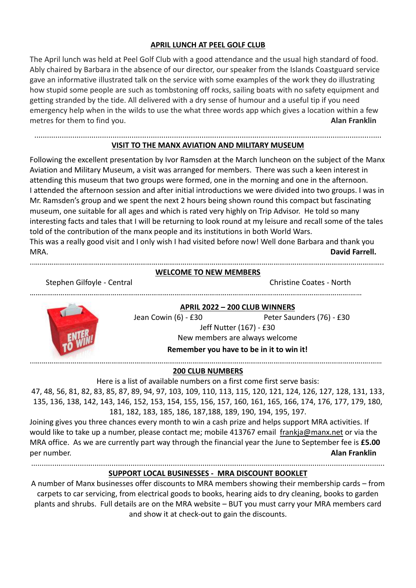## **APRIL LUNCH AT PEEL GOLF CLUB**

The April lunch was held at Peel Golf Club with a good attendance and the usual high standard of food. Ably chaired by Barbara in the absence of our director, our speaker from the Islands Coastguard service gave an informative illustrated talk on the service with some examples of the work they do illustrating how stupid some people are such as tombstoning off rocks, sailing boats with no safety equipment and getting stranded by the tide. All delivered with a dry sense of humour and a useful tip if you need emergency help when in the wilds to use the what three words app which gives a location within a few metres for them to find you. **Alan Franklin**

#### .................................................................................................................................................................... **VISIT TO THE MANX AVIATION AND MILITARY MUSEUM**

Following the excellent presentation by Ivor Ramsden at the March luncheon on the subject of the Manx Aviation and Military Museum, a visit was arranged for members. There was such a keen interest in attending this museum that two groups were formed, one in the morning and one in the afternoon. I attended the afternoon session and after initial introductions we were divided into two groups. I was in Mr. Ramsden's group and we spent the next 2 hours being shown round this compact but fascinating museum, one suitable for all ages and which is rated very highly on Trip Advisor. He told so many interesting facts and tales that I will be returning to look round at my leisure and recall some of the tales told of the contribution of the manx people and its institutions in both World Wars. This was a really good visit and I only wish I had visited before now! Well done Barbara and thank you MRA. **David Farrell.**

#### ..….…………………………………………………………………………………………………………………………………………….…………….. **WELCOME TO NEW MEMBERS**

Stephen Gilfoyle - Central Christine Coates - North

………………………………………………………………………………………………………………………………………………….……



**APRIL 2022 – 200 CLUB WINNERS** Jean Cowin (6) - £30 Peter Saunders (76) - £30 Jeff Nutter (167) - £30 New members are always welcome **Remember you have to be in it to win it!**

..….………………………………………………………………………………………………………………………………………………….….……

## **200 CLUB NUMBERS**

Here is a list of available numbers on a first come first serve basis:

47, 48, 56, 81, 82, 83, 85, 87, 89, 94, 97, 103, 109, 110, 113, 115, 120, 121, 124, 126, 127, 128, 131, 133, 135, 136, 138, 142, 143, 146, 152, 153, 154, 155, 156, 157, 160, 161, 165, 166, 174, 176, 177, 179, 180, 181, 182, 183, 185, 186, 187,188, 189, 190, 194, 195, 197.

Joining gives you three chances every month to win a cash prize and helps support MRA activities. If would like to take up a number, please contact me; mobile 413767 email [frankja@manx.net](mailto:frankja@manx.net) or via the MRA office. As we are currently part way through the financial year the June to September fee is **£5.00** per number. **Alan Franklin**

.......................................................................................................................................................................

## **SUPPORT LOCAL BUSINESSES - MRA DISCOUNT BOOKLET**

A number of Manx businesses offer discounts to MRA members showing their membership cards – from carpets to car servicing, from electrical goods to books, hearing aids to dry cleaning, books to garden plants and shrubs. Full details are on the MRA website – BUT you must carry your MRA members card and show it at check-out to gain the discounts.